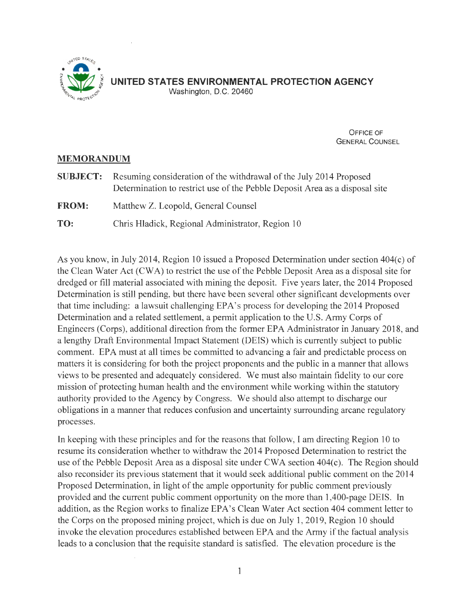

OFFICE OF GENERAL COUNSEL

### **MEMORANDUM**

- **SUBJECT:** Resuming consideration of the withdrawal of the July 2014 Proposed Determination to restrict use of the Pebble Deposit Area as a disposal site **FROM:** Matthew Z. Leopold, General Counsel
- **TO:** Chris Hladick, Regional Administrator, Region 10

As you know, in July 2014, Region 10 issued a Proposed Determination under section 404(c) of the Clean Water Act (CWA) to restrict the use of the Pebble Deposit Area as a disposal site for dredged or fill material associated with mining the deposit. Five years later, the 2014 Proposed Determination is still pending, but there have been several other significant developments over that time including: a lawsuit challenging EPA's process for developing the 2014 Proposed Determination and a related settlement, a permit application to the U.S. Army Corps of Engineers (Corps), additional direction from the former EPA Administrator in January 2018, and a lengthy Draft Environmental Impact Statement (DEIS) which is currently subject to public comment. EPA must at all times be committed to advancing a fair and predictable process on matters it is considering for both the project proponents and the public in a manner that allows views to be presented and adequately considered. We must also maintain fidelity to our core mission of protecting human health and the environment while working within the statutory authority provided to the Agency by Congress. We should also attempt to discharge our obligations in a manner that reduces confusion and uncertainty surrounding arcane regulatory processes.

In keeping with these principles and for the reasons that follow, I am directing Region 10 to resume its consideration whether to withdraw the 2014 Proposed Determination to restrict the use of the Pebble Deposit Area as a disposal site under CWA section 404(c). The Region should also reconsider its previous statement that it would seek additional public comment on the 2014 Proposed Determination, in light of the ample opportunity for public comment previously provided and the current public comment opportunity on the more than 1,400-page DEIS. In addition, as the Region works to finalize EPA's Clean Water Act section 404 comment letter to the Corps on the proposed mining project, which is due on July 1, 2019, Region 10 should invoke the elevation procedures established between EPA and the Army if the factual analysis leads to a conclusion that the requisite standard is satisfied. The elevation procedure is the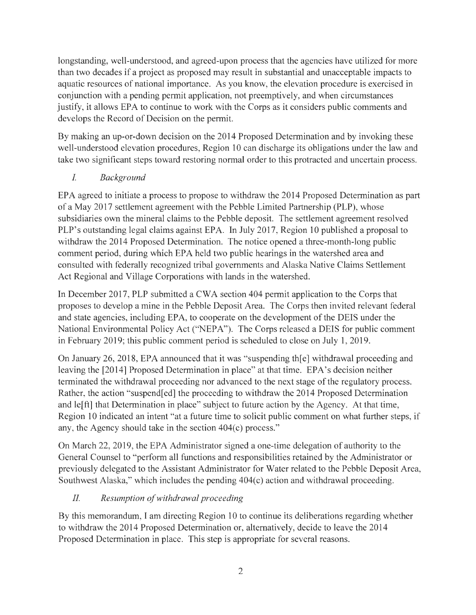longstanding, well-understood, and agreed-upon process that the agencies have utilized for more than two decades if a project as proposed may result in substantial and unacceptable impacts to aquatic resources of national importance. As you know, the elevation procedure is exercised in conjunction with a pending permit application, not preemptively, and when circumstances justify, it allows EPA to continue to work with the Corps as it considers public comments and develops the Record of Decision on the permit.

By making an up-or-down decision on the 2014 Proposed Determination and by invoking these well-understood elevation procedures, Region 10 can discharge its obligations under the law and take two significant steps toward restoring normal order to this protracted and uncertain process.

## *I. Background*

EPA agreed to initiate a process to propose to withdraw the 2014 Proposed Determination as part of a May 2017 settlement agreement with the Pebble Limited Partnership (PLP), whose subsidiaries own the mineral claims to the Pebble deposit. The settlement agreement resolved PLP's outstanding legal claims against EPA. In July 2017, Region 10 published a proposal to withdraw the 2014 Proposed Determination. The notice opened a three-month-long public comment period, during which EPA held two public hearings in the watershed area and consulted with federally recognized tribal governments and Alaska Native Claims Settlement Act Regional and Village Corporations with lands in the watershed.

In December 2017, PLP submitted a CWA section 404 permit application to the Corps that proposes to develop a mine in the Pebble Deposit Area. The Corps then invited relevant federal and state agencies, including EPA, to cooperate on the development of the DEIS under the National Environmental Policy Act ("NEPA"). The Corps released a DEIS for public comment in February 2019; this public comment period is scheduled to close on July 1, 2019.

On January 26, 2018, EPA announced that it was "suspending th[ e] withdrawal proceeding and leaving the [2014] Proposed Determination in place" at that time. EPA's decision neither terminated the withdrawal proceeding nor advanced to the next stage of the regulatory process. Rather, the action "suspend[ed] the proceeding to withdraw the 2014 Proposed Determination and le[ft] that Determination in place" subject to future action by the Agency. At that time, Region 10 indicated an intent "at a future time to solicit public comment on what further steps, if any, the Agency should take in the section 404(c) process."

On March 22, 2019, the EPA Administrator signed a one-time delegation of authority to the General Counsel to "perform all functions and responsibilities retained by the Administrator or previously delegated to the Assistant Administrator for Water related to the Pebble Deposit Area, Southwest Alaska," which includes the pending 404(c) action and withdrawal proceeding.

# *II. Resumption of withdrawal proceeding*

By this memorandum, I am directing Region 10 to continue its deliberations regarding whether to withdraw the 2014 Proposed Determination or, alternatively, decide to leave the 2014 Proposed Determination in place. This step is appropriate for several reasons.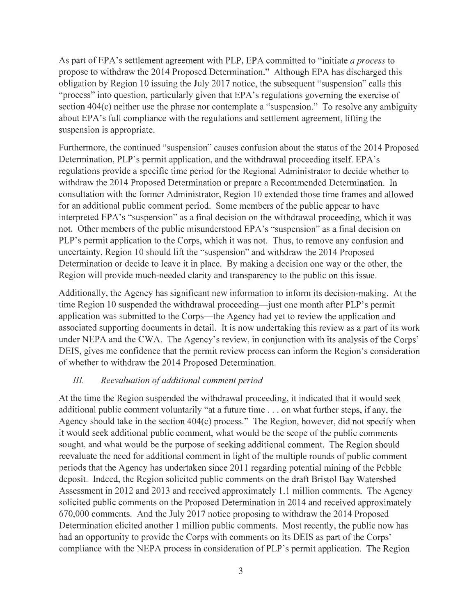As part ofEPA's settlement agreement with PLP, EPA committed to "initiate *a process* to propose to withdraw the 2014 Proposed Determination." Although EPA has discharged this obligation by Region 10 issuing the July 2017 notice, the subsequent "suspension" calls this "process" into question, particularly given that EPA's regulations governing the exercise of section 404(c) neither use the phrase nor contemplate a "suspension." To resolve any ambiguity about EPA's full compliance with the regulations and settlement agreement, lifting the suspension is appropriate.

Furthermore, the continued "suspension" causes confusion about the status of the 2014 Proposed Determination, PLP's permit application, and the withdrawal proceeding itself. EPA's regulations provide a specific time period for the Regional Administrator to decide whether to withdraw the 2014 Proposed Determination or prepare a Recommended Determination. In consultation with the former Administrator, Region 10 extended those time frames and allowed for an additional public comment period. Some members of the public appear to have interpreted EPA's "suspension" as a final decision on the withdrawal proceeding, which it was not. Other members of the public misunderstood EPA's "suspension" as a final decision on PLP's permit application to the Corps, which it was not. Thus, to remove any confusion and uncertainty, Region 10 should lift the "suspension" and withdraw the 2014 Proposed Determination or decide to leave it in place. By making a decision one way or the other, the Region will provide much-needed clarity and transparency to the public on this issue.

Additionally, the Agency has significant new information to inform its decision-making. At the time Region 10 suspended the withdrawal proceeding—just one month after PLP's permit application was submitted to the Corps—the Agency had yet to review the application and associated supporting documents in detail. It is now undertaking this review as a part of its work under NEPA and the CWA. The Agency's review, in conjunction with its analysis of the Corps' DEIS, gives me confidence that the permit review process can inform the Region's consideration of whether to withdraw the 2014 Proposed Determination.

#### *JJJ Reevaluation of additional comment period*

At the time the Region suspended the withdrawal proceeding, it indicated that it would seek additional public comment voluntarily "at a future time ... on what further steps, if any, the Agency should take in the section 404(c) process." The Region, however, did not specify when it would seek additional public comment, what would be the scope of the public comments sought, and what would be the purpose of seeking additional comment. The Region should reevaluate the need for additional comment in light of the multiple rounds of public comment periods that the Agency has undertaken since 2011 regarding potential mining of the Pebble deposit. Indeed, the Region solicited public comments on the draft Bristol Bay Watershed Assessment in 2012 and 2013 and received approximately 1.1 million comments. The Agency solicited public comments on the Proposed Determination in 2014 and received approximately 670,000 comments. And the July 2017 notice proposing to withdraw the 2014 Proposed Determination elicited another 1 million public comments. Most recently, the public now has had an opportunity to provide the Corps with comments on its DEIS as part of the Corps' compliance with the NEPA process in consideration of PLP's permit application. The Region